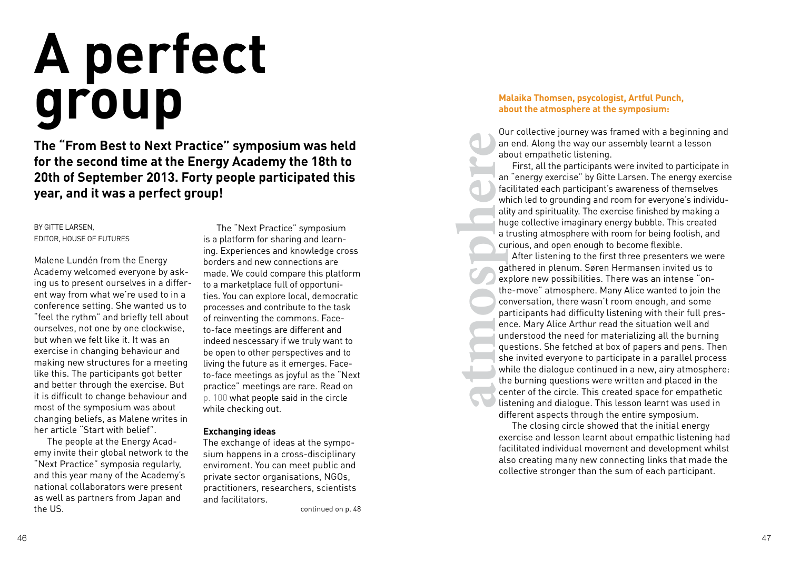# **A perfect group**

**The "From Best to Next Practice" symposium was held for the second time at the Energy Academy the 18th to 20th of September 2013. Forty people participated this year, and it was a perfect group!**

BY GITTE LARSEN, EDITOR, HOUSE OF FUTURES

Malene Lundén from the Energy Academy welcomed everyone by asking us to present ourselves in a different way from what we're used to in a conference setting. She wanted us to "feel the rythm" and briefly tell about ourselves, not one by one clockwise, but when we felt like it. It was an exercise in changing behaviour and making new structures for a meeting like this. The participants got better and better through the exercise. But it is difficult to change behaviour and most of the symposium was about changing beliefs, as Malene writes in her article "Start with belief".

The people at the Energy Academy invite their global network to the "Next Practice" symposia regularly, and this year many of the Academy's national collaborators were present as well as partners from Japan and the US.

The "Next Practice" symposium is a platform for sharing and learning. Experiences and knowledge cross borders and new connections are made. We could compare this platform to a marketplace full of opportunities. You can explore local, democratic processes and contribute to the task of reinventing the commons. Faceto-face meetings are different and indeed nescessary if we truly want to be open to other perspectives and to living the future as it emerges. Faceto-face meetings as joyful as the "Next practice" meetings are rare. Read on p. 100 what people said in the circle while checking out.

## **Exchanging ideas**

The exchange of ideas at the symposium happens in a cross-disciplinary enviroment. You can meet public and private sector organisations, NGOs, practitioners, researchers, scientists and facilitators.

continued on p. 48

## **Malaika Thomsen, psycologist, Artful Punch, about the atmosphere at the symposium:**

Our collective journey was framed with a beginning and an end. Along the way our assembly learnt a lesson about empathetic listening.

First, all the participants were invited to participate in an "energy exercise" by Gitte Larsen. The energy exercise facilitated each participant's awareness of themselves which led to grounding and room for everyone's individuality and spirituality. The exercise finished by making a huge collective imaginary energy bubble. This created a trusting atmosphere with room for being foolish, and curious, and open enough to become flexible.

**atmosphere**<br> **atmosphere**<br> **atmosphere**<br> **atmosphere**<br> **atmosphere**<br> **atmosphere**<br> **atmosphere**<br> **atmosphere**<br> **atmosphere**<br> **atmosphere**<br> **atmosphere**<br> **atmosphere** After listening to the first three presenters we were gathered in plenum. Søren Hermansen invited us to explore new possibilities. There was an intense "onthe-move" atmosphere. Many Alice wanted to join the conversation, there wasn't room enough, and some participants had difficulty listening with their full presence. Mary Alice Arthur read the situation well and understood the need for materializing all the burning questions. She fetched at box of papers and pens. Then she invited everyone to participate in a parallel process while the dialogue continued in a new, airy atmosphere: the burning questions were written and placed in the center of the circle. This created space for empathetic listening and dialogue. This lesson learnt was used in different aspects through the entire symposium.

> The closing circle showed that the initial energy exercise and lesson learnt about empathic listening had facilitated individual movement and development whilst also creating many new connecting links that made the collective stronger than the sum of each participant.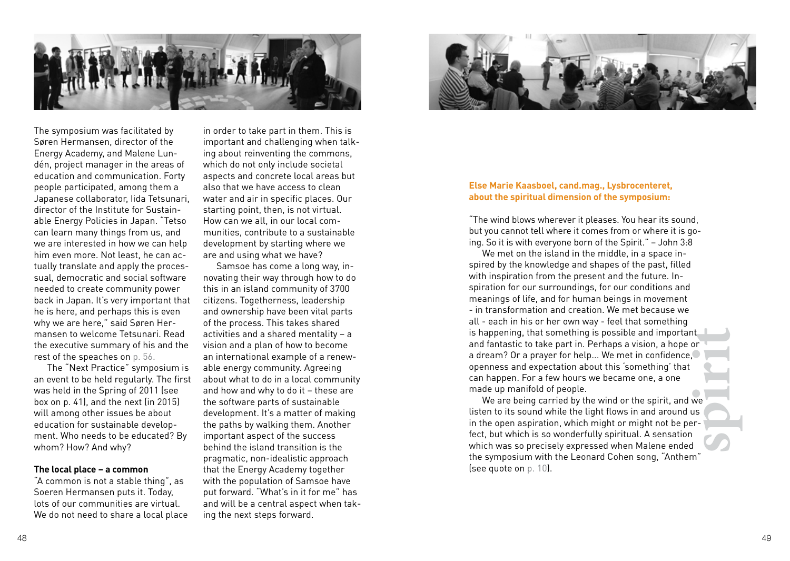

The symposium was facilitated by Søren Hermansen, director of the Energy Academy, and Malene Lundén, project manager in the areas of education and communication. Forty people participated, among them a Japanese collaborator, Iida Tetsunari, director of the Institute for Sustainable Energy Policies in Japan. "Tetso can learn many things from us, and we are interested in how we can help him even more. Not least, he can actually translate and apply the processual, democratic and social software needed to create community power back in Japan. It's very important that he is here, and perhaps this is even why we are here," said Søren Hermansen to welcome Tetsunari. Read the executive summary of his and the rest of the speaches on p. 56.

The "Next Practice" symposium is an event to be held regularly. The first was held in the Spring of 2011 (see box on p. 41), and the next (in 2015) will among other issues be about education for sustainable development. Who needs to be educated? By whom? How? And why?

### **The local place – a common**

"A common is not a stable thing", as Soeren Hermansen puts it. Today, lots of our communities are virtual. We do not need to share a local place

in order to take part in them. This is important and challenging when talking about reinventing the commons, which do not only include societal aspects and concrete local areas but also that we have access to clean water and air in specific places. Our starting point, then, is not virtual. How can we all, in our local communities, contribute to a sustainable development by starting where we are and using what we have?

Samsoe has come a long way, innovating their way through how to do this in an island community of 3700 citizens. Togetherness, leadership and ownership have been vital parts of the process. This takes shared activities and a shared mentality – a vision and a plan of how to become an international example of a renewable energy community. Agreeing about what to do in a local community and how and why to do it – these are the software parts of sustainable development. It's a matter of making the paths by walking them. Another important aspect of the success behind the island transition is the pragmatic, non-idealistic approach that the Energy Academy together with the population of Samsoe have put forward. "What's in it for me" has and will be a central aspect when taking the next steps forward.



#### **Else Marie Kaasboel, cand.mag., Lysbrocenteret, about the spiritual dimension of the symposium:**

"The wind blows wherever it pleases. You hear its sound, but you cannot tell where it comes from or where it is going. So it is with everyone born of the Spirit." – John 3:8

nt<br>or<br>we<br>sus<br>fr-We met on the island in the middle, in a space inspired by the knowledge and shapes of the past, filled with inspiration from the present and the future. Inspiration for our surroundings, for our conditions and meanings of life, and for human beings in movement - in transformation and creation. We met because we all - each in his or her own way - feel that something is happening, that something is possible and important and fantastic to take part in. Perhaps a vision, a hope or a dream? Or a prayer for help... We met in confidence, openness and expectation about this 'something' that can happen. For a few hours we became one, a one made up manifold of people.

We are being carried by the wind or the spirit, and we listen to its sound while the light flows in and around us in the open aspiration, which might or might not be perfect, but which is so wonderfully spiritual. A sensation which was so precisely expressed when Malene ended the symposium with the Leonard Cohen song, "Anthem" (see quote on p. 10).